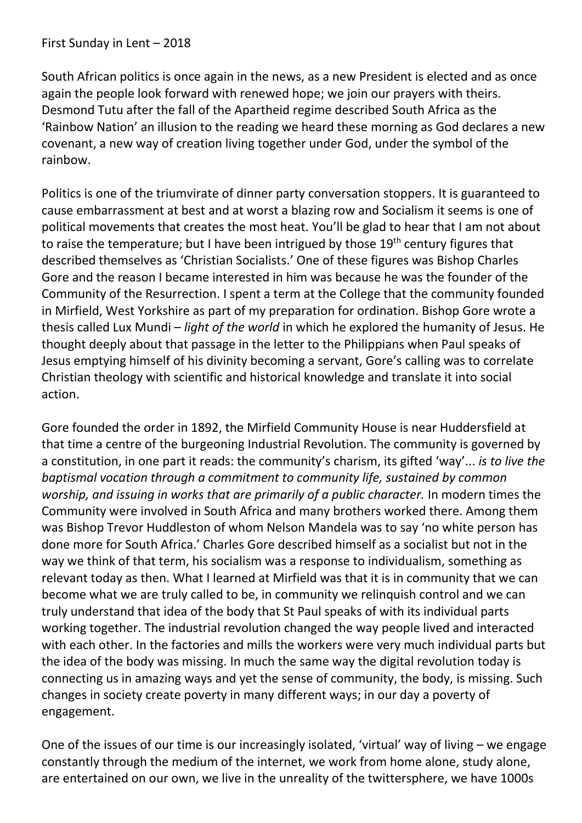South African politics is once again in the news, as a new President is elected and as once again the people look forward with renewed hope; we join our prayers with theirs. Desmond Tutu after the fall of the Apartheid regime described South Africa as the 'Rainbow Nation' an illusion to the reading we heard these morning as God declares a new covenant, a new way of creation living together under God, under the symbol of the rainbow.

Politics is one of the triumvirate of dinner party conversation stoppers. It is guaranteed to cause embarrassment at best and at worst a blazing row and Socialism it seems is one of political movements that creates the most heat. You'll be glad to hear that I am not about to raise the temperature; but I have been intrigued by those 19<sup>th</sup> century figures that described themselves as 'Christian Socialists.' One of these figures was Bishop Charles Gore and the reason I became interested in him was because he was the founder of the Community of the Resurrection. I spent a term at the College that the community founded in Mirfield, West Yorkshire as part of my preparation for ordination. Bishop Gore wrote a thesis called Lux Mundi – *light of the world* in which he explored the humanity of Jesus. He thought deeply about that passage in the letter to the Philippians when Paul speaks of Jesus emptying himself of his divinity becoming a servant, Gore's calling was to correlate Christian [theology](https://www.britannica.com/topic/theology) with scientific and historical knowledge and translate it into social action.

Gore founded the order in 1892, the Mirfield Community House is near Huddersfield at that time a centre of the burgeoning Industrial Revolution. The community is governed by a constitution, in one part it reads: the community's charism, its gifted 'way'... *is to live the baptismal vocation through a commitment to community life, sustained by common worship, and issuing in works that are primarily of a public character.* In modern times the Community were involved in South Africa and many brothers worked there. Among them was Bishop Trevor Huddleston of whom Nelson Mandela was to say 'no white person has done more for South Africa.' Charles Gore described himself as a socialist but not in the way we think of that term, his socialism was a response to individualism, something as relevant today as then. What I learned at Mirfield was that it is in community that we can become what we are truly called to be, in community we relinquish control and we can truly understand that idea of the body that St Paul speaks of with its individual parts working together. The industrial revolution changed the way people lived and interacted with each other. In the factories and mills the workers were very much individual parts but the idea of the body was missing. In much the same way the digital revolution today is connecting us in amazing ways and yet the sense of community, the body, is missing. Such changes in society create poverty in many different ways; in our day a poverty of engagement.

One of the issues of our time is our increasingly isolated, 'virtual' way of living – we engage constantly through the medium of the internet, we work from home alone, study alone, are entertained on our own, we live in the unreality of the twittersphere, we have 1000s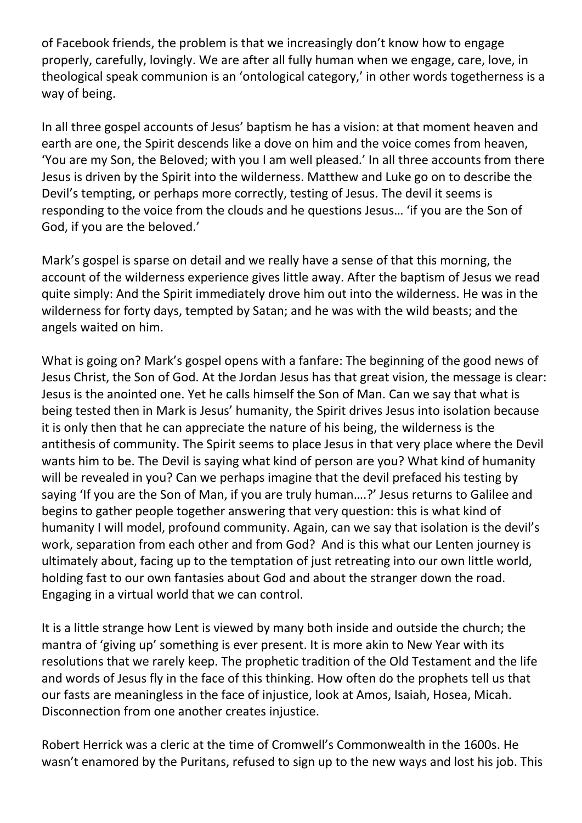of Facebook friends, the problem is that we increasingly don't know how to engage properly, carefully, lovingly. We are after all fully human when we engage, care, love, in theological speak communion is an 'ontological category,' in other words togetherness is a way of being.

In all three gospel accounts of Jesus' baptism he has a vision: at that moment heaven and earth are one, the Spirit descends like a dove on him and the voice comes from heaven, 'You are my Son, the Beloved; with you I am well pleased.' In all three accounts from there Jesus is driven by the Spirit into the wilderness. Matthew and Luke go on to describe the Devil's tempting, or perhaps more correctly, testing of Jesus. The devil it seems is responding to the voice from the clouds and he questions Jesus… 'if you are the Son of God, if you are the beloved.'

Mark's gospel is sparse on detail and we really have a sense of that this morning, the account of the wilderness experience gives little away. After the baptism of Jesus we read quite simply: And the Spirit immediately drove him out into the wilderness. He was in the wilderness for forty days, tempted by Satan; and he was with the wild beasts; and the angels waited on him.

What is going on? Mark's gospel opens with a fanfare: The beginning of the good news of Jesus Christ, the Son of God. At the Jordan Jesus has that great vision, the message is clear: Jesus is the anointed one. Yet he calls himself the Son of Man. Can we say that what is being tested then in Mark is Jesus' humanity, the Spirit drives Jesus into isolation because it is only then that he can appreciate the nature of his being, the wilderness is the antithesis of community. The Spirit seems to place Jesus in that very place where the Devil wants him to be. The Devil is saying what kind of person are you? What kind of humanity will be revealed in you? Can we perhaps imagine that the devil prefaced his testing by saying 'If you are the Son of Man, if you are truly human....?' Jesus returns to Galilee and begins to gather people together answering that very question: this is what kind of humanity I will model, profound community. Again, can we say that isolation is the devil's work, separation from each other and from God? And is this what our Lenten journey is ultimately about, facing up to the temptation of just retreating into our own little world, holding fast to our own fantasies about God and about the stranger down the road. Engaging in a virtual world that we can control.

It is a little strange how Lent is viewed by many both inside and outside the church; the mantra of 'giving up' something is ever present. It is more akin to New Year with its resolutions that we rarely keep. The prophetic tradition of the Old Testament and the life and words of Jesus fly in the face of this thinking. How often do the prophets tell us that our fasts are meaningless in the face of injustice, look at Amos, Isaiah, Hosea, Micah. Disconnection from one another creates injustice.

Robert Herrick was a cleric at the time of Cromwell's Commonwealth in the 1600s. He wasn't enamored by the Puritans, refused to sign up to the new ways and lost his job. This